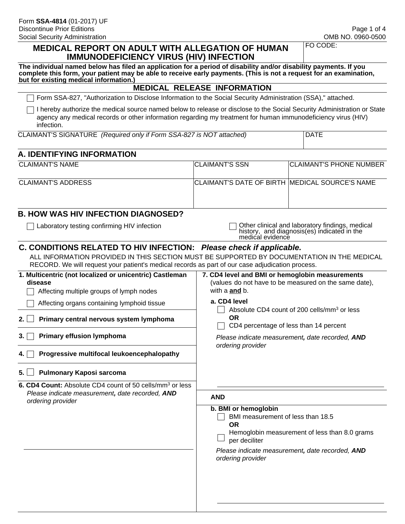#### **MEDICAL REPORT ON ADULT WITH ALLEGATION OF HUMAN IMMUNODEFICIENCY VIRUS (HIV) INFECTION**

FO CODE:

| The individual named below has filed an application for a period of disability and/or disability payments. If you  |
|--------------------------------------------------------------------------------------------------------------------|
| complete this form, your patient may be able to receive early payments. (This is not a request for an examination, |
| but for existing medical information.)                                                                             |

#### **MEDICAL RELEASE INFORMATION**

Form SSA-827, "Authorization to Disclose Information to the Social Security Administration (SSA)," attached.

I hereby authorize the medical source named below to release or disclose to the Social Security Administration or State agency any medical records or other information regarding my treatment for human immunodeficiency virus (HIV) infection.

| CLAIMANT'S SIGNATURE (Required only if Form SSA-827 is NOT attached) |
|----------------------------------------------------------------------|
|----------------------------------------------------------------------|

#### **A. IDENTIFYING INFORMATION**

| <b>CLAIMANT'S NAME</b> | <b>ICLAIMANT'S SSN</b>                                  | <b>CLAIMANT'S PHONE NUMBER</b> |
|------------------------|---------------------------------------------------------|--------------------------------|
| CLAIMANT'S ADDRESS     | <b>ICLAIMANT'S DATE OF BIRTH IMEDICAL SOURCE'S NAME</b> |                                |
|                        |                                                         |                                |

## **B. HOW WAS HIV INFECTION DIAGNOSED?**

□ Laboratory testing confirming HIV infection <br>○ Other clinical and laboratory findings, medical history, and diagnosis(es) indicated in the medical evidence

### **C. CONDITIONS RELATED TO HIV INFECTION:** *Please check if applicable.*

ALL INFORMATION PROVIDED IN THIS SECTION MUST BE SUPPORTED BY DOCUMENTATION IN THE MEDICAL RECORD. We will request your patient's medical records as part of our case adjudication process.

| 1. Multicentric (not localized or unicentric) Castleman<br>disease<br>Affecting multiple groups of lymph nodes | 7. CD4 level and BMI or hemoglobin measurements<br>(values do not have to be measured on the same date),<br>with a <b>and</b> b.                                                                                 |
|----------------------------------------------------------------------------------------------------------------|------------------------------------------------------------------------------------------------------------------------------------------------------------------------------------------------------------------|
| Affecting organs containing lymphoid tissue                                                                    | a. CD4 level                                                                                                                                                                                                     |
| Primary central nervous system lymphoma<br>2.1                                                                 | Absolute CD4 count of 200 cells/mm <sup>3</sup> or less<br><b>OR</b><br>CD4 percentage of less than 14 percent                                                                                                   |
| <b>Primary effusion lymphoma</b><br>3. I                                                                       | Please indicate measurement, date recorded, AND<br>ordering provider                                                                                                                                             |
| Progressive multifocal leukoencephalopathy<br>4. I                                                             |                                                                                                                                                                                                                  |
| <b>Pulmonary Kaposi sarcoma</b><br>5.                                                                          |                                                                                                                                                                                                                  |
| 6. CD4 Count: Absolute CD4 count of 50 cells/mm <sup>3</sup> or less                                           |                                                                                                                                                                                                                  |
| Please indicate measurement, date recorded, AND<br>ordering provider                                           | <b>AND</b>                                                                                                                                                                                                       |
|                                                                                                                | b. BMI or hemoglobin<br>BMI measurement of less than 18.5<br><b>OR</b><br>Hemoglobin measurement of less than 8.0 grams<br>per deciliter<br>Please indicate measurement, date recorded, AND<br>ordering provider |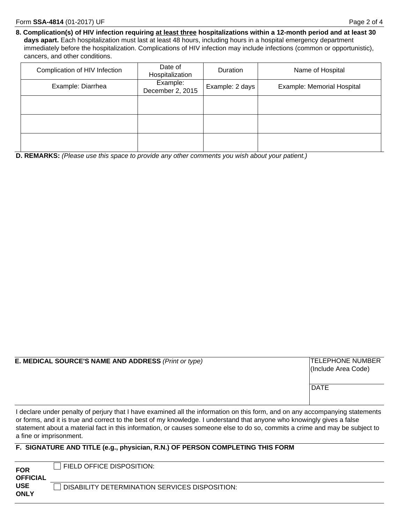**8. Complication(s) of HIV infection requiring at least three hospitalizations within a 12-month period and at least 30 days apart.** Each hospitalization must last at least 48 hours, including hours in a hospital emergency department immediately before the hospitalization. Complications of HIV infection may include infections (common or opportunistic), cancers, and other conditions.

| Complication of HIV Infection | Date of<br>Hospitalization   | <b>Duration</b> | Name of Hospital           |
|-------------------------------|------------------------------|-----------------|----------------------------|
| Example: Diarrhea             | Example:<br>December 2, 2015 | Example: 2 days | Example: Memorial Hospital |
|                               |                              |                 |                            |
|                               |                              |                 |                            |
|                               |                              |                 |                            |

**D. REMARKS:** *(Please use this space to provide any other comments you wish about your patient.)*

|  |  |  | E. MEDICAL SOURCE'S NAME AND ADDRESS (Print or type) |  |  |  |
|--|--|--|------------------------------------------------------|--|--|--|
|--|--|--|------------------------------------------------------|--|--|--|

### **TELEPHONE NUMBER** (Include Area Code)

**DATE** 

I declare under penalty of perjury that I have examined all the information on this form, and on any accompanying statements or forms, and it is true and correct to the best of my knowledge. I understand that anyone who knowingly gives a false statement about a material fact in this information, or causes someone else to do so, commits a crime and may be subject to a fine or imprisonment.

#### **F. SIGNATURE AND TITLE (e.g., physician, R.N.) OF PERSON COMPLETING THIS FORM**

| <b>FOR</b><br><b>OFFICIAL</b> | FIELD OFFICE DISPOSITION:                      |
|-------------------------------|------------------------------------------------|
| <b>USE</b><br><b>ONLY</b>     | DISABILITY DETERMINATION SERVICES DISPOSITION: |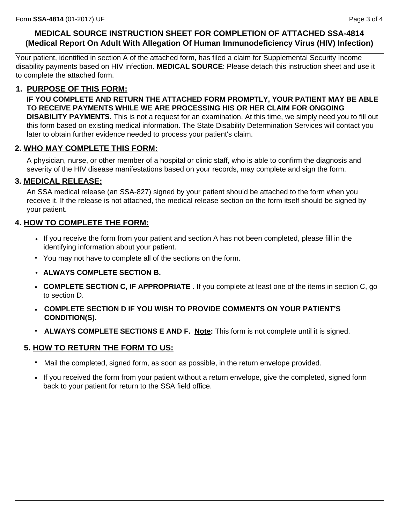## **MEDICAL SOURCE INSTRUCTION SHEET FOR COMPLETION OF ATTACHED SSA-4814 (Medical Report On Adult With Allegation Of Human Immunodeficiency Virus (HIV) Infection)**

Your patient, identified in section A of the attached form, has filed a claim for Supplemental Security Income disability payments based on HIV infection. **MEDICAL SOURCE**: Please detach this instruction sheet and use it to complete the attached form.

## **1. PURPOSE OF THIS FORM:**

**IF YOU COMPLETE AND RETURN THE ATTACHED FORM PROMPTLY, YOUR PATIENT MAY BE ABLE TO RECEIVE PAYMENTS WHILE WE ARE PROCESSING HIS OR HER CLAIM FOR ONGOING DISABILITY PAYMENTS.** This is not a request for an examination. At this time, we simply need you to fill out

this form based on existing medical information. The State Disability Determination Services will contact you later to obtain further evidence needed to process your patient's claim.

## **2. WHO MAY COMPLETE THIS FORM:**

A physician, nurse, or other member of a hospital or clinic staff, who is able to confirm the diagnosis and severity of the HIV disease manifestations based on your records, may complete and sign the form.

## **3. MEDICAL RELEASE:**

An SSA medical release (an SSA-827) signed by your patient should be attached to the form when you receive it. If the release is not attached, the medical release section on the form itself should be signed by your patient.

## **4. HOW TO COMPLETE THE FORM:**

- If you receive the form from your patient and section A has not been completed, please fill in the identifying information about your patient.
- You may not have to complete all of the sections on the form.
- **ALWAYS COMPLETE SECTION B.**
- **COMPLETE SECTION C, IF APPROPRIATE** . If you complete at least one of the items in section C, go to section D.
- **COMPLETE SECTION D IF YOU WISH TO PROVIDE COMMENTS ON YOUR PATIENT'S CONDITION(S).**
- **ALWAYS COMPLETE SECTIONS E AND F. Note:** This form is not complete until it is signed.

## **5. HOW TO RETURN THE FORM TO US:**

- Mail the completed, signed form, as soon as possible, in the return envelope provided.
- If you received the form from your patient without a return envelope, give the completed, signed form back to your patient for return to the SSA field office.